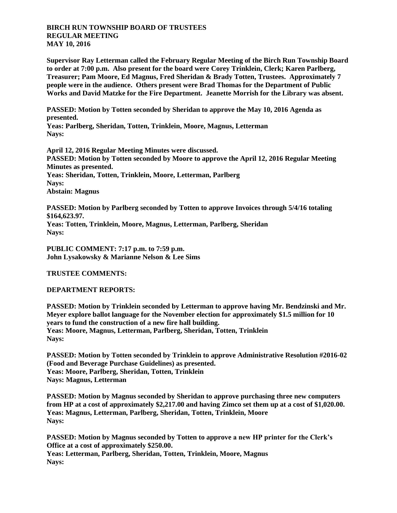## **BIRCH RUN TOWNSHIP BOARD OF TRUSTEES REGULAR MEETING MAY 10, 2016**

**Supervisor Ray Letterman called the February Regular Meeting of the Birch Run Township Board to order at 7:00 p.m. Also present for the board were Corey Trinklein, Clerk; Karen Parlberg, Treasurer; Pam Moore, Ed Magnus, Fred Sheridan & Brady Totten, Trustees. Approximately 7 people were in the audience. Others present were Brad Thomas for the Department of Public Works and David Matzke for the Fire Department. Jeanette Morrish for the Library was absent.**

**PASSED: Motion by Totten seconded by Sheridan to approve the May 10, 2016 Agenda as presented.**

**Yeas: Parlberg, Sheridan, Totten, Trinklein, Moore, Magnus, Letterman Nays:** 

**April 12, 2016 Regular Meeting Minutes were discussed. PASSED: Motion by Totten seconded by Moore to approve the April 12, 2016 Regular Meeting Minutes as presented. Yeas: Sheridan, Totten, Trinklein, Moore, Letterman, Parlberg Nays: Abstain: Magnus**

**PASSED: Motion by Parlberg seconded by Totten to approve Invoices through 5/4/16 totaling \$164,623.97. Yeas: Totten, Trinklein, Moore, Magnus, Letterman, Parlberg, Sheridan Nays:** 

**PUBLIC COMMENT: 7:17 p.m. to 7:59 p.m. John Lysakowsky & Marianne Nelson & Lee Sims**

**TRUSTEE COMMENTS:**

**DEPARTMENT REPORTS:**

**PASSED: Motion by Trinklein seconded by Letterman to approve having Mr. Bendzinski and Mr. Meyer explore ballot language for the November election for approximately \$1.5 million for 10 years to fund the construction of a new fire hall building. Yeas: Moore, Magnus, Letterman, Parlberg, Sheridan, Totten, Trinklein Nays:** 

**PASSED: Motion by Totten seconded by Trinklein to approve Administrative Resolution #2016-02 (Food and Beverage Purchase Guidelines) as presented. Yeas: Moore, Parlberg, Sheridan, Totten, Trinklein Nays: Magnus, Letterman**

**PASSED: Motion by Magnus seconded by Sheridan to approve purchasing three new computers from HP at a cost of approximately \$2,217.00 and having Zimco set them up at a cost of \$1,020.00. Yeas: Magnus, Letterman, Parlberg, Sheridan, Totten, Trinklein, Moore Nays:** 

**PASSED: Motion by Magnus seconded by Totten to approve a new HP printer for the Clerk's Office at a cost of approximately \$250.00. Yeas: Letterman, Parlberg, Sheridan, Totten, Trinklein, Moore, Magnus Nays:**